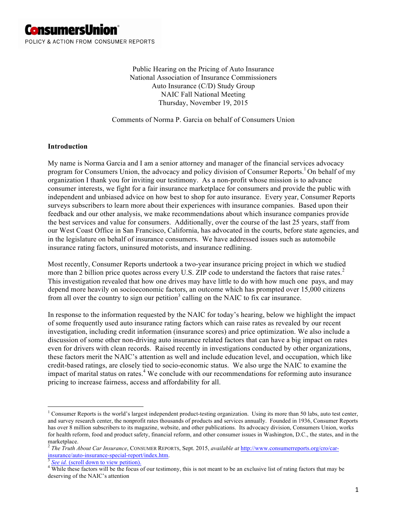

Public Hearing on the Pricing of Auto Insurance National Association of Insurance Commissioners Auto Insurance (C/D) Study Group NAIC Fall National Meeting Thursday, November 19, 2015

Comments of Norma P. Garcia on behalf of Consumers Union

#### **Introduction**

My name is Norma Garcia and I am a senior attorney and manager of the financial services advocacy program for Consumers Union, the advocacy and policy division of Consumer Reports.<sup>1</sup> On behalf of my organization I thank you for inviting our testimony. As a non-profit whose mission is to advance consumer interests, we fight for a fair insurance marketplace for consumers and provide the public with independent and unbiased advice on how best to shop for auto insurance. Every year, Consumer Reports surveys subscribers to learn more about their experiences with insurance companies. Based upon their feedback and our other analysis, we make recommendations about which insurance companies provide the best services and value for consumers. Additionally, over the course of the last 25 years, staff from our West Coast Office in San Francisco, California, has advocated in the courts, before state agencies, and in the legislature on behalf of insurance consumers. We have addressed issues such as automobile insurance rating factors, uninsured motorists, and insurance redlining.

Most recently, Consumer Reports undertook a two-year insurance pricing project in which we studied more than 2 billion price quotes across every U.S. ZIP code to understand the factors that raise rates.<sup>2</sup> This investigation revealed that how one drives may have little to do with how much one pays, and may depend more heavily on socioeconomic factors, an outcome which has prompted over 15,000 citizens from all over the country to sign our petition<sup>3</sup> calling on the NAIC to fix car insurance.

In response to the information requested by the NAIC for today's hearing, below we highlight the impact of some frequently used auto insurance rating factors which can raise rates as revealed by our recent investigation, including credit information (insurance scores) and price optimization. We also include a discussion of some other non-driving auto insurance related factors that can have a big impact on rates even for drivers with clean records. Raised recently in investigations conducted by other organizations, these factors merit the NAIC's attention as well and include education level, and occupation, which like credit-based ratings, are closely tied to socio-economic status. We also urge the NAIC to examine the impact of marital status on rates.<sup>4</sup> We conclude with our recommendations for reforming auto insurance pricing to increase fairness, access and affordability for all.

<sup>&</sup>lt;sup>1</sup> Consumer Reports is the world's largest independent product-testing organization. Using its more than 50 labs, auto test center, and survey research center, the nonprofit rates thousands of products and services annually. Founded in 1936, Consumer Reports has over 8 million subscribers to its magazine, website, and other publications. Its advocacy division, Consumers Union, works for health reform, food and product safety, financial reform, and other consumer issues in Washington, D.C., the states, and in the marketplace.

<sup>2</sup> *The Truth About Car Insurance*, CONSUMER REPORTS, Sept. 2015, *available at* http://www.consumerreports.org/cro/car- $\frac{3}{3}$  See id. (scroll down to view petition).<br> $\frac{3}{3}$  See id. (scroll down to view petition).<br> $\frac{4}{3}$  While these factors will be the focus of our testimony, this is not meant to be an exclusive list of rating fac

deserving of the NAIC's attention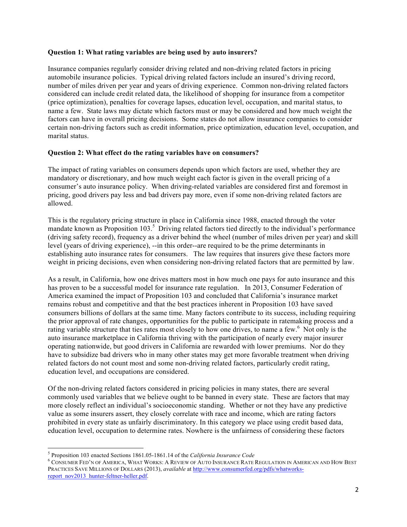#### **Question 1: What rating variables are being used by auto insurers?**

Insurance companies regularly consider driving related and non-driving related factors in pricing automobile insurance policies. Typical driving related factors include an insured's driving record, number of miles driven per year and years of driving experience. Common non-driving related factors considered can include credit related data, the likelihood of shopping for insurance from a competitor (price optimization), penalties for coverage lapses, education level, occupation, and marital status, to name a few. State laws may dictate which factors must or may be considered and how much weight the factors can have in overall pricing decisions. Some states do not allow insurance companies to consider certain non-driving factors such as credit information, price optimization, education level, occupation, and marital status.

## **Question 2: What effect do the rating variables have on consumers?**

The impact of rating variables on consumers depends upon which factors are used, whether they are mandatory or discretionary, and how much weight each factor is given in the overall pricing of a consumer's auto insurance policy. When driving-related variables are considered first and foremost in pricing, good drivers pay less and bad drivers pay more, even if some non-driving related factors are allowed.

This is the regulatory pricing structure in place in California since 1988, enacted through the voter mandate known as Proposition 103.<sup>5</sup> Driving related factors tied directly to the individual's performance (driving safety record), frequency as a driver behind the wheel (number of miles driven per year) and skill level (years of driving experience), --in this order--are required to be the prime determinants in establishing auto insurance rates for consumers. The law requires that insurers give these factors more weight in pricing decisions, even when considering non-driving related factors that are permitted by law.

As a result, in California, how one drives matters most in how much one pays for auto insurance and this has proven to be a successful model for insurance rate regulation. In 2013, Consumer Federation of America examined the impact of Proposition 103 and concluded that California's insurance market remains robust and competitive and that the best practices inherent in Proposition 103 have saved consumers billions of dollars at the same time. Many factors contribute to its success, including requiring the prior approval of rate changes, opportunities for the public to participate in ratemaking process and a rating variable structure that ties rates most closely to how one drives, to name a few.<sup>6</sup> Not only is the auto insurance marketplace in California thriving with the participation of nearly every major insurer operating nationwide, but good drivers in California are rewarded with lower premiums. Nor do they have to subsidize bad drivers who in many other states may get more favorable treatment when driving related factors do not count most and some non-driving related factors, particularly credit rating, education level, and occupations are considered.

Of the non-driving related factors considered in pricing policies in many states, there are several commonly used variables that we believe ought to be banned in every state. These are factors that may more closely reflect an individual's socioeconomic standing. Whether or not they have any predictive value as some insurers assert, they closely correlate with race and income, which are rating factors prohibited in every state as unfairly discriminatory. In this category we place using credit based data, education level, occupation to determine rates. Nowhere is the unfairness of considering these factors

<sup>&</sup>lt;sup>5</sup> Proposition 103 enacted Sections 1861.05-1861.14 of the *California Insurance Code* 6 Consumer FED'N OF AMERICA, WHAT WORKS: A REVIEW OF AUTO INSURANCE RATE REGULATION IN AMERICAN AND HOW BEST PRACTICES SAVE MILLIONS OF DOLLARS (2013), *available* at http://www.consumerfed.org/pdfs/whatworksreport\_nov2013\_hunter-feltner-heller.pdf.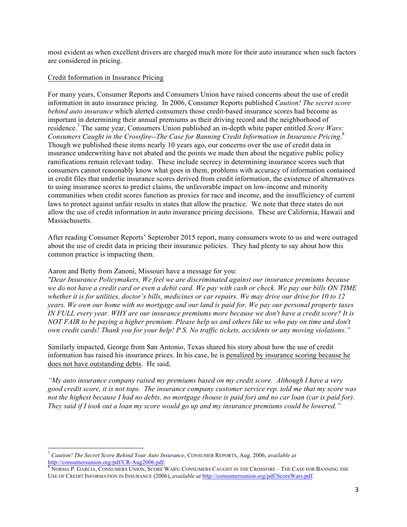most evident as when excellent drivers are charged much more for their auto insurance when such factors are considered in pricing.

#### Credit Information in Insurance Pricing

For many years, Consumer Reports and Consumers Union have raised concerns about the use of credit information in auto insurance pricing. In 2006, Consumer Reports published *Caution! The secret score behind auto insurance* which alerted consumers those credit-based insurance scores had become as important in determining their annual premiums as their driving record and the neighborhood of residence.<sup>7</sup> The same year, Consumers Union published an in-depth white paper entitled *Score Wars*: *Consumers Caught in the Crossfire--The Case for Banning Credit Information in Insurance Pricing*. 8 Though we published these items nearly 10 years ago, our concerns over the use of credit data in insurance underwriting have not abated and the points we made then about the negative public policy ramifications remain relevant today. These include secrecy in determining insurance scores such that consumers cannot reasonably know what goes in them, problems with accuracy of information contained in credit files that underlie insurance scores derived from credit information, the existence of alternatives to using insurance scores to predict claims, the unfavorable impact on low-income and minority communities when credit scores function as proxies for race and income, and the insufficiency of current laws to protect against unfair results in states that allow the practice. We note that three states do not allow the use of credit information in auto insurance pricing decisions. These are California, Hawaii and Massachusetts.

After reading Consumer Reports' September 2015 report, many consumers wrote to us and were outraged about the use of credit data in pricing their insurance policies. They had plenty to say about how this common practice is impacting them.

## Aaron and Betty from Zanoni, Missouri have a message for you:

*"Dear Insurance Policymakers, We feel we are discriminated against our insurance premiums because we do not have a credit card or even a debit card. We pay with cash or check. We pay our bills ON TIME whether it is for utilities, doctor's bills, medicines or car repairs. We may drive our drive for 10 to 12 years. We own our home with no mortgage and our land is paid for. We pay our personal property taxes IN FULL every year. WHY are our insurance premiums more because we don't have a credit score? It is NOT FAIR to be paying a higher premium. Please help us and others like us who pay on time and don't own credit cards! Thank you for your help! P.S. No traffic tickets, accidents or any moving violations."*

Similarly impacted, George from San Antonio, Texas shared his story about how the use of credit information has raised his insurance prices. In his case, he is penalized by insurance scoring because he does not have outstanding debts. He said,

*"My auto insurance company raised my premiums based on my credit score. Although I have a very good credit score, it is not tops. The insurance company customer service rep. told me that my score was not the highest because I had no debts, no mortgage (house is paid for) and no car loan (car is paid for). They said if I took out a loan my score would go up and my insurance premiums could be lowered."*

<sup>7</sup> *Caution! The Secret Score Behind Your Auto Insurance*, CONSUMER REPORTS, Aug. 2006, *available at* 

http://consumersunion.org/pdf/CR-Aug2006.pdf.<br><sup>8</sup> Norma P. Garcia, Consumers Union, Score Wars: Consumers Caught in the Crossfire – The Case for Banning the USE OF CREDIT INFORMATION IN INSURANCE (2006), *available at* http://consumersunion.org/pdf/ScoreWars.pdf.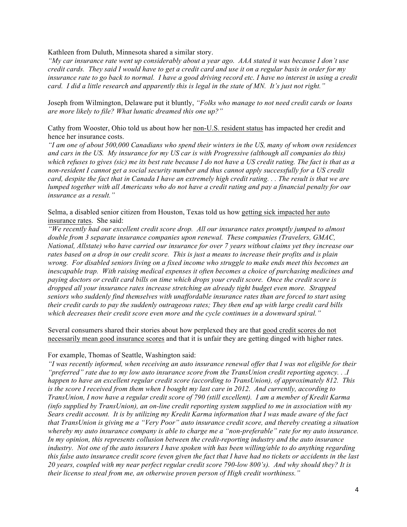Kathleen from Duluth, Minnesota shared a similar story.

*"My car insurance rate went up considerably about a year ago. AAA stated it was because I don't use credit cards. They said I would have to get a credit card and use it on a regular basis in order for my insurance rate to go back to normal. I have a good driving record etc. I have no interest in using a credit card. I did a little research and apparently this is legal in the state of MN. It's just not right."*

Joseph from Wilmington, Delaware put it bluntly, *"Folks who manage to not need credit cards or loans are more likely to file? What lunatic dreamed this one up?"*

Cathy from Wooster, Ohio told us about how her non-U.S. resident status has impacted her credit and hence her insurance costs.

*"I am one of about 500,000 Canadians who spend their winters in the US, many of whom own residences and cars in the US. My insurance for my US car is with Progressive (although all companies do this) which refuses to gives (sic) me its best rate because I do not have a US credit rating. The fact is that as a non-resident I cannot get a social security number and thus cannot apply successfully for a US credit card, despite the fact that in Canada I have an extremely high credit rating. . . The result is that we are lumped together with all Americans who do not have a credit rating and pay a financial penalty for our insurance as a result."*

Selma, a disabled senior citizen from Houston, Texas told us how getting sick impacted her auto insurance rates. She said:

*"We recently had our excellent credit score drop. All our insurance rates promptly jumped to almost double from 3 separate insurance companies upon renewal. These companies (Travelers, GMAC, National, Allstate) who have carried our insurance for over 7 years without claims yet they increase our rates based on a drop in our credit score. This is just a means to increase their profits and is plain wrong. For disabled seniors living on a fixed income who struggle to make ends meet this becomes an inescapable trap. With raising medical expenses it often becomes a choice of purchasing medicines and paying doctors or credit card bills on time which drops your credit score. Once the credit score is dropped all your insurance rates increase stretching an already tight budget even more. Strapped seniors who suddenly find themselves with unaffordable insurance rates than are forced to start using their credit cards to pay the suddenly outrageous rates; They then end up with large credit card bills which decreases their credit score even more and the cycle continues in a downward spiral."*

Several consumers shared their stories about how perplexed they are that good credit scores do not necessarily mean good insurance scores and that it is unfair they are getting dinged with higher rates.

For example, Thomas of Seattle, Washington said:

*"I was recently informed, when receiving an auto insurance renewal offer that I was not eligible for their "preferred" rate due to my low auto insurance score from the TransUnion credit reporting agency. . .I happen to have an excellent regular credit score (according to TransUnion), of approximately 812. This is the score I received from them when I bought my last care in 2012. And currently, according to TransUnion, I now have a regular credit score of 790 (still excellent). I am a member of Kredit Karma (info supplied by TransUnion), an on-line credit reporting system supplied to me in association with my Sears credit account. It is by utilizing my Kredit Karma information that I was made aware of the fact that TransUnion is giving me a "Very Poor" auto insurance credit score, and thereby creating a situation whereby my auto insurance company is able to charge me a "non-preferable" rate for my auto insurance. In my opinion, this represents collusion between the credit-reporting industry and the auto insurance industry. Not one of the auto insurers I have spoken with has been willing/able to do anything regarding this false auto insurance credit score (even given the fact that I have had no tickets or accidents in the last 20 years, coupled with my near perfect regular credit score 790-low 800's). And why should they? It is their license to steal from me, an otherwise proven person of High credit worthiness."*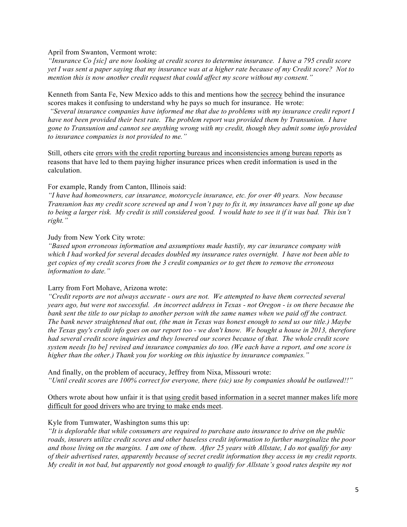April from Swanton, Vermont wrote:

*"Insurance Co [sic] are now looking at credit scores to determine insurance. I have a 795 credit score yet I was sent a paper saying that my insurance was at a higher rate because of my Credit score? Not to mention this is now another credit request that could affect my score without my consent."*

Kenneth from Santa Fe, New Mexico adds to this and mentions how the secrecy behind the insurance scores makes it confusing to understand why he pays so much for insurance. He wrote:

*"Several insurance companies have informed me that due to problems with my insurance credit report I have not been provided their best rate. The problem report was provided them by Transunion. I have gone to Transunion and cannot see anything wrong with my credit, though they admit some info provided to insurance companies is not provided to me."*

Still, others cite errors with the credit reporting bureaus and inconsistencies among bureau reports as reasons that have led to them paying higher insurance prices when credit information is used in the calculation.

#### For example, Randy from Canton, Illinois said:

*"I have had homeowners, car insurance, motorcycle insurance, etc. for over 40 years. Now because Transunion has my credit score screwed up and I won't pay to fix it, my insurances have all gone up due to being a larger risk. My credit is still considered good. I would hate to see it if it was bad. This isn't right."*

#### Judy from New York City wrote:

*"Based upon erroneous information and assumptions made hastily, my car insurance company with which I had worked for several decades doubled my insurance rates overnight. I have not been able to get copies of my credit scores from the 3 credit companies or to get them to remove the erroneous information to date."*

#### Larry from Fort Mohave, Arizona wrote:

*"Credit reports are not always accurate - ours are not. We attempted to have them corrected several years ago, but were not successful. An incorrect address in Texas - not Oregon - is on there because the bank sent the title to our pickup to another person with the same names when we paid off the contract. The bank never straightened that out, (the man in Texas was honest enough to send us our title.) Maybe the Texas guy's credit info goes on our report too - we don't know. We bought a house in 2013, therefore had several credit score inquiries and they lowered our scores because of that. The whole credit score system needs [to be] revised and insurance companies do too. (We each have a report, and one score is higher than the other.) Thank you for working on this injustice by insurance companies."*

And finally, on the problem of accuracy, Jeffrey from Nixa, Missouri wrote: *"Until credit scores are 100% correct for everyone, there (sic) use by companies should be outlawed!!"*

Others wrote about how unfair it is that using credit based information in a secret manner makes life more difficult for good drivers who are trying to make ends meet.

#### Kyle from Tumwater, Washington sums this up:

*"It is deplorable that while consumers are required to purchase auto insurance to drive on the public roads, insurers utilize credit scores and other baseless credit information to further marginalize the poor and those living on the margins. I am one of them. After 25 years with Allstate, I do not qualify for any of their advertised rates, apparently because of secret credit information they access in my credit reports. My credit in not bad, but apparently not good enough to qualify for Allstate's good rates despite my not*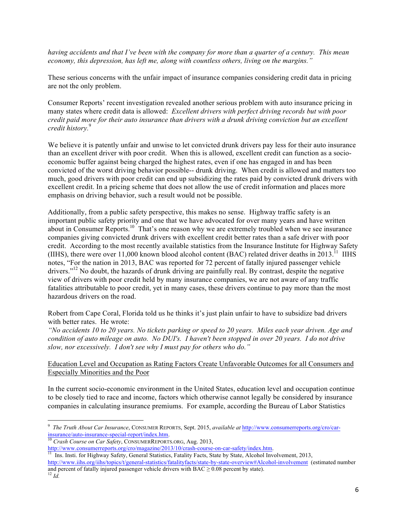*having accidents and that I've been with the company for more than a quarter of a century. This mean economy, this depression, has left me, along with countless others, living on the margins."*

These serious concerns with the unfair impact of insurance companies considering credit data in pricing are not the only problem.

Consumer Reports' recent investigation revealed another serious problem with auto insurance pricing in many states where credit data is allowed: *Excellent drivers with perfect driving records but with poor credit paid more for their auto insurance than drivers with a drunk driving conviction but an excellent credit history.* 9

We believe it is patently unfair and unwise to let convicted drunk drivers pay less for their auto insurance than an excellent driver with poor credit. When this is allowed, excellent credit can function as a socioeconomic buffer against being charged the highest rates, even if one has engaged in and has been convicted of the worst driving behavior possible-- drunk driving. When credit is allowed and matters too much, good drivers with poor credit can end up subsidizing the rates paid by convicted drunk drivers with excellent credit. In a pricing scheme that does not allow the use of credit information and places more emphasis on driving behavior, such a result would not be possible.

Additionally, from a public safety perspective, this makes no sense. Highway traffic safety is an important public safety priority and one that we have advocated for over many years and have written about in Consumer Reports.<sup>10</sup> That's one reason why we are extremely troubled when we see insurance companies giving convicted drunk drivers with excellent credit better rates than a safe driver with poor credit. According to the most recently available statistics from the Insurance Institute for Highway Safety (IIHS), there were over 11,000 known blood alcohol content (BAC) related driver deaths in 2013.<sup>11</sup> IIHS notes, "For the nation in 2013, BAC was reported for 72 percent of fatally injured passenger vehicle drivers."<sup>12</sup> No doubt, the hazards of drunk driving are painfully real. By contrast, despite the negative view of drivers with poor credit held by many insurance companies, we are not aware of any traffic fatalities attributable to poor credit, yet in many cases, these drivers continue to pay more than the most hazardous drivers on the road.

Robert from Cape Coral, Florida told us he thinks it's just plain unfair to have to subsidize bad drivers with better rates. He wrote:

*"No accidents 10 to 20 years. No tickets parking or speed to 20 years. Miles each year driven. Age and condition of auto mileage on auto. No DUI's. I haven't been stopped in over 20 years. I do not drive slow, nor excessively. I don't see why I must pay for others who do."*

## Education Level and Occupation as Rating Factors Create Unfavorable Outcomes for all Consumers and Especially Minorities and the Poor

In the current socio-economic environment in the United States, education level and occupation continue to be closely tied to race and income, factors which otherwise cannot legally be considered by insurance companies in calculating insurance premiums. For example, according the Bureau of Labor Statistics

<sup>9</sup> *The Truth About Car Insurance*, CONSUMER REPORTS, Sept. 2015, *available at* http://www.consumerreports.org/cro/carinsurance/auto-insurance-special-report/index.htm. 10 *Crash Course on Car Safety*, CONSUMERREPORTS.ORG, Aug. 2013,

http://www.consumerreports.org/cro/magazine/2013/10/crash-course-on-car-safety/index.htm.<br><sup>11</sup> Ins. Insti. for Highway Safety, General Statistics, Fatality Facts, State by State, Alcohol Involvement, 2013,

http://www.iihs.org/iihs/topics/t/general-statistics/fatalityfacts/state-by-state-overview#Alcohol-involvement (estimated number and percent of fatally injured passenger vehicle drivers with BAC ≥ 0.08 percent by state).<br><sup>12</sup> *Id.*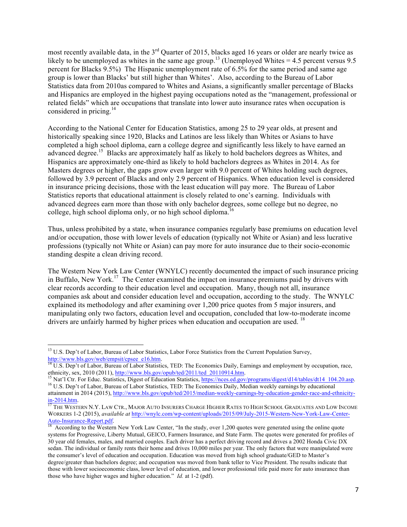most recently available data, in the 3<sup>rd</sup> Quarter of 2015, blacks aged 16 years or older are nearly twice as likely to be unemployed as whites in the same age group.<sup>13</sup> (Unemployed Whites = 4.5 percent versus 9.5 percent for Blacks 9.5%) The Hispanic unemployment rate of 6.5% for the same period and same age group is lower than Blacks' but still higher than Whites'. Also, according to the Bureau of Labor Statistics data from 2010as compared to Whites and Asians, a significantly smaller percentage of Blacks and Hispanics are employed in the highest paying occupations noted as the "management, professional or related fields" which are occupations that translate into lower auto insurance rates when occupation is considered in pricing. $14$ 

According to the National Center for Education Statistics, among 25 to 29 year olds, at present and historically speaking since 1920, Blacks and Latinos are less likely than Whites or Asians to have completed a high school diploma, earn a college degree and significantly less likely to have earned an advanced degree.<sup>15</sup> Blacks are approximately half as likely to hold bachelors degrees as Whites, and Hispanics are approximately one-third as likely to hold bachelors degrees as Whites in 2014. As for Masters degrees or higher, the gaps grow even larger with 9.0 percent of Whites holding such degrees, followed by 3.9 percent of Blacks and only 2.9 percent of Hispanics. When education level is considered in insurance pricing decisions, those with the least education will pay more. The Bureau of Labor Statistics reports that educational attainment is closely related to one's earning. Individuals with advanced degrees earn more than those with only bachelor degrees, some college but no degree, no college, high school diploma only, or no high school diploma.<sup>16</sup>

Thus, unless prohibited by a state, when insurance companies regularly base premiums on education level and/or occupation, those with lower levels of education (typically not White or Asian) and less lucrative professions (typically not White or Asian) can pay more for auto insurance due to their socio-economic standing despite a clean driving record.

The Western New York Law Center (WNYLC) recently documented the impact of such insurance pricing in Buffalo, New York.<sup>17</sup> The Center examined the impact on insurance premiums paid by drivers with clear records according to their education level and occupation. Many, though not all, insurance companies ask about and consider education level and occupation, according to the study. The WNYLC explained its methodology and after examining over 1,200 price quotes from 5 major insurers, and manipulating only two factors, education level and occupation, concluded that low-to-moderate income drivers are unfairly harmed by higher prices when education and occupation are used. <sup>18</sup>

<sup>&</sup>lt;sup>13</sup> U.S. Dep't of Labor, Bureau of Labor Statistics, Labor Force Statistics from the Current Population Survey,

http://www.bls.gov/web/empsit/cpsee\_e16.htm.<br><sup>14</sup> U.S. Dep't of Labor, Bureau of Labor Statistics, TED: The Economics Daily, Earnings and employment by occupation, race,

ethnicity, sex, 2010 (2011), http://www.bls.gov/opub/ted/2011/ted 20110914.htm.<br><sup>15</sup> Nat'l Ctr. For Educ. Statistics, Digest of Education Statistics, https://nces.ed.gov/programs/digest/d14/tables/dt14\_104.20.asp.<br><sup>16</sup> U.S

attainment in 2014 (2015), http://www.bls.gov/opub/ted/2015/median-weekly-earnings-by-education-gender-race-and-ethnicityin-2014.htm.<br><sup>17</sup> The Western N.Y. Law Ctr., Major Auto Insurers Charge Higher Rates to High School Graduates and Low Income

WORKERS 1-2 (2015), *available at* <u>http://wnylc.com/wp-content/uploads/2015/09/July-2015-Western-New-York-Law-Center-<br>Auto-Insurance-Report.pdf.<br><sup>18</sup> According to the Western New York Law Center. <sup>6</sup>Ultimate the Metal and</u>

According to the Western New York Law Center, "In the study, over 1,200 quotes were generated using the online quote systems for Progressive, Liberty Mutual, GEICO, Farmers Insurance, and State Farm. The quotes were generated for profiles of 30 year old females, males, and married couples. Each driver has a perfect driving record and drives a 2002 Honda Civic DX sedan. The individual or family rents their home and drives 10,000 miles per year. The only factors that were manipulated were the consumer's level of education and occupation. Education was moved from high school graduate/GED to Master's degree/greater than bachelors degree; and occupation was moved from bank teller to Vice President. The results indicate that those with lower socioeconomic class, lower level of education, and lower professional title paid more for auto insurance than those who have higher wages and higher education." *Id.* at 1-2 (pdf).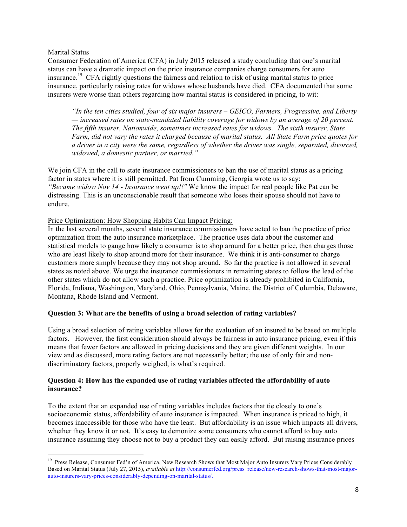## Marital Status

Consumer Federation of America (CFA) in July 2015 released a study concluding that one's marital status can have a dramatic impact on the price insurance companies charge consumers for auto insurance.<sup>19</sup> CFA rightly questions the fairness and relation to risk of using marital status to price insurance, particularly raising rates for widows whose husbands have died. CFA documented that some insurers were worse than others regarding how marital status is considered in pricing, to wit:

*"In the ten cities studied, four of six major insurers – GEICO, Farmers, Progressive, and Liberty — increased rates on state-mandated liability coverage for widows by an average of 20 percent. The fifth insurer, Nationwide, sometimes increased rates for widows. The sixth insurer, State Farm, did not vary the rates it charged because of marital status. All State Farm price quotes for a driver in a city were the same, regardless of whether the driver was single, separated, divorced, widowed, a domestic partner, or married."*

We join CFA in the call to state insurance commissioners to ban the use of marital status as a pricing factor in states where it is still permitted. Pat from Cumming, Georgia wrote us to say: *"Became widow Nov 14 - Insurance went up!!"* We know the impact for real people like Pat can be distressing. This is an unconscionable result that someone who loses their spouse should not have to endure.

## Price Optimization: How Shopping Habits Can Impact Pricing:

<u> 1989 - Johann Stein, fransk politik (d. 1989)</u>

In the last several months, several state insurance commissioners have acted to ban the practice of price optimization from the auto insurance marketplace. The practice uses data about the customer and statistical models to gauge how likely a consumer is to shop around for a better price, then charges those who are least likely to shop around more for their insurance. We think it is anti-consumer to charge customers more simply because they may not shop around. So far the practice is not allowed in several states as noted above. We urge the insurance commissioners in remaining states to follow the lead of the other states which do not allow such a practice. Price optimization is already prohibited in California, Florida, Indiana, Washington, Maryland, Ohio, Pennsylvania, Maine, the District of Columbia, Delaware, Montana, Rhode Island and Vermont.

## **Question 3: What are the benefits of using a broad selection of rating variables?**

Using a broad selection of rating variables allows for the evaluation of an insured to be based on multiple factors. However, the first consideration should always be fairness in auto insurance pricing, even if this means that fewer factors are allowed in pricing decisions and they are given different weights. In our view and as discussed, more rating factors are not necessarily better; the use of only fair and nondiscriminatory factors, properly weighed, is what's required.

## **Question 4: How has the expanded use of rating variables affected the affordability of auto insurance?**

To the extent that an expanded use of rating variables includes factors that tie closely to one's socioeconomic status, affordability of auto insurance is impacted. When insurance is priced to high, it becomes inaccessible for those who have the least. But affordability is an issue which impacts all drivers, whether they know it or not. It's easy to demonize some consumers who cannot afford to buy auto insurance assuming they choose not to buy a product they can easily afford. But raising insurance prices

<sup>&</sup>lt;sup>19</sup> Press Release, Consumer Fed'n of America, New Research Shows that Most Major Auto Insurers Vary Prices Considerably Based on Marital Status (July 27, 2015), *available at* http://consumerfed.org/press\_release/new-research-shows-that-most-majorauto-insurers-vary-prices-considerably-depending-on-marital-status/.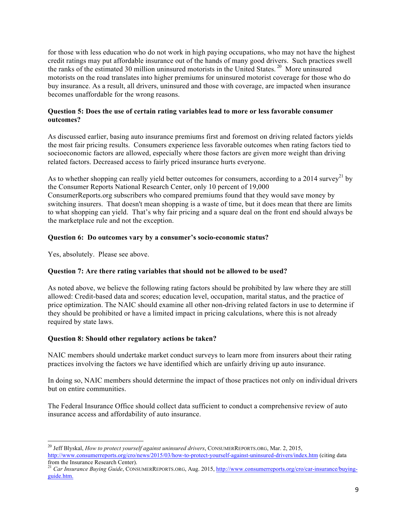for those with less education who do not work in high paying occupations, who may not have the highest credit ratings may put affordable insurance out of the hands of many good drivers. Such practices swell the ranks of the estimated 30 million uninsured motorists in the United States. <sup>20</sup> More uninsured motorists on the road translates into higher premiums for uninsured motorist coverage for those who do buy insurance. As a result, all drivers, uninsured and those with coverage, are impacted when insurance becomes unaffordable for the wrong reasons.

## **Question 5: Does the use of certain rating variables lead to more or less favorable consumer outcomes?**

As discussed earlier, basing auto insurance premiums first and foremost on driving related factors yields the most fair pricing results. Consumers experience less favorable outcomes when rating factors tied to socioeconomic factors are allowed, especially where those factors are given more weight than driving related factors. Decreased access to fairly priced insurance hurts everyone.

As to whether shopping can really yield better outcomes for consumers, according to a 2014 survey<sup>21</sup> by the Consumer Reports National Research Center, only 10 percent of 19,000 ConsumerReports.org subscribers who compared premiums found that they would save money by switching insurers. That doesn't mean shopping is a waste of time, but it does mean that there are limits to what shopping can yield. That's why fair pricing and a square deal on the front end should always be the marketplace rule and not the exception.

## **Question 6: Do outcomes vary by a consumer's socio-economic status?**

Yes, absolutely. Please see above.

# **Question 7: Are there rating variables that should not be allowed to be used?**

As noted above, we believe the following rating factors should be prohibited by law where they are still allowed: Credit-based data and scores; education level, occupation, marital status, and the practice of price optimization. The NAIC should examine all other non-driving related factors in use to determine if they should be prohibited or have a limited impact in pricing calculations, where this is not already required by state laws.

## **Question 8: Should other regulatory actions be taken?**

NAIC members should undertake market conduct surveys to learn more from insurers about their rating practices involving the factors we have identified which are unfairly driving up auto insurance.

In doing so, NAIC members should determine the impact of those practices not only on individual drivers but on entire communities.

The Federal Insurance Office should collect data sufficient to conduct a comprehensive review of auto insurance access and affordability of auto insurance.

<sup>&</sup>lt;u> 1989 - Johann Stein, fransk politik (d. 1989)</u> <sup>20</sup> Jeff Blyskal, *How to protect yourself against uninsured drivers*, CONSUMERREPORTS.ORG, Mar. 2, 2015, http://www.consumerreports.org/cro/news/2015/03/how-to-protect-yourself-against-uninsured-drivers/index.htm (citing data from the Insurance Research Center).

<sup>&</sup>lt;sup>21</sup> *Car Insurance Buying Guide*, CONSUMERREPORTS.ORG, Aug. 2015, http://www.consumerreports.org/cro/car-insurance/buyingguide.htm.